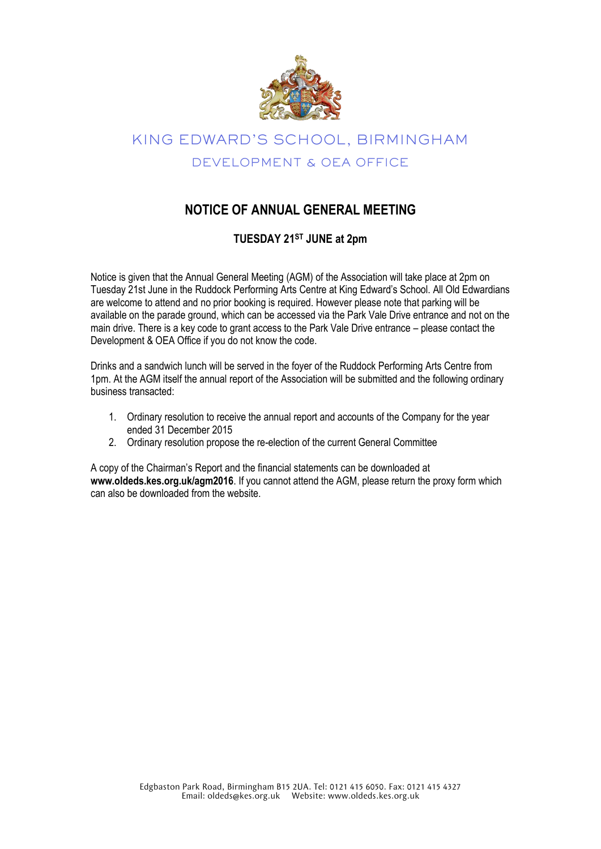

# KING EDWARD'S SCHOOL, BIRMINGHAM DEVELOPMENT & OEA OFFICE

### **NOTICE OF ANNUAL GENERAL MEETING**

#### **TUESDAY 21ST JUNE at 2pm**

Notice is given that the Annual General Meeting (AGM) of the Association will take place at 2pm on Tuesday 21st June in the Ruddock Performing Arts Centre at King Edward's School. All Old Edwardians are welcome to attend and no prior booking is required. However please note that parking will be available on the parade ground, which can be accessed via the Park Vale Drive entrance and not on the main drive. There is a key code to grant access to the Park Vale Drive entrance – please contact the Development & OEA Office if you do not know the code.

Drinks and a sandwich lunch will be served in the foyer of the Ruddock Performing Arts Centre from 1pm. At the AGM itself the annual report of the Association will be submitted and the following ordinary business transacted:

- 1. Ordinary resolution to receive the annual report and accounts of the Company for the year ended 31 December 2015
- 2. Ordinary resolution propose the re-election of the current General Committee

A copy of the Chairman's Report and the financial statements can be downloaded at **www.oldeds.kes.org.uk/agm2016**. If you cannot attend the AGM, please return the proxy form which can also be downloaded from the website.